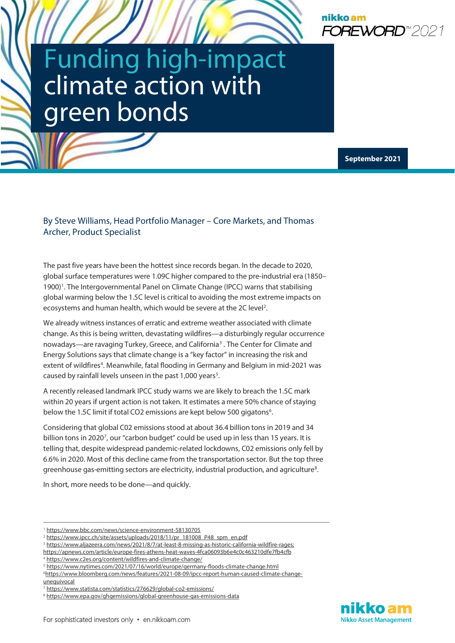

# Funding high-impact<br>climate action with green bonds

 **September 2021**

#### By Steve Williams, Head Portfolio Manager – Core Markets, and Thomas Archer, Product Specialist

The past five years have been the hottest since records began. In the decade to 2020, global surface temperatures were 1.09C higher compared to the pre-industrial era (1850– 1900)<sup>1</sup>. The Intergovernmental Panel on Climate Change (IPCC) warns that stabilising global warming below the 1.5C level is critical to avoiding the most extreme impacts on ecosystems and human health, which would be severe at the [2](#page-0-1)C level<sup>2</sup>.

We already witness instances of erratic and extreme weather associated with climate change. As this is being written, devastating wildfires—a disturbingly regular occurrence nowadays—are ravaging Turkey, Greece, and California<sup>[3](#page-0-2)</sup>. The Center for Climate and Energy Solutions says that climate change is a "key factor" in increasing the risk and extent of wildfires<sup>[4](#page-0-3)</sup>. Meanwhile, fatal flooding in Germany and Belgium in mid-2021 was caused by rainfall levels unseen in the past  $1,000$  years<sup>5</sup>.

A recently released landmark IPCC study warns we are likely to breach the 1.5C mark within 20 years if urgent action is not taken. It estimates a mere 50% chance of staying below the 1.5C limit if total CO2 emissions are kept below 500 gigatons<sup>[6](#page-0-5)</sup>.

Considering that global C02 emissions stood at about 36.4 billion tons in 2019 and 34 billion tons in 2020<sup>[7](#page-0-6)</sup>, our "carbon budget" could be used up in less than 15 years. It is telling that, despite widespread pandemic-related lockdowns, C02 emissions only fell by 6.6% in 2020. Most of this decline came from the transportation sector. But the top three greenhouse gas-emitting sectors are electricity, industrial production, and agriculture<sup>[8](#page-0-7)</sup>.

In short, more needs to be done—and quickly.

<span id="page-0-5"></span>[unequivocal](https://www.bloomberg.com/news/features/2021-08-09/ipcc-report-human-caused-climate-change-unequivocal)



<sup>&</sup>lt;sup>1</sup> <https://www.bbc.com/news/science-environment-58130705>

<span id="page-0-1"></span><span id="page-0-0"></span><sup>&</sup>lt;sup>2</sup> [https://www.ipcc.ch/site/assets/uploads/2018/11/pr\\_181008\\_P48\\_spm\\_en.pdf](https://www.ipcc.ch/site/assets/uploads/2018/11/pr_181008_P48_spm_en.pdf)

<span id="page-0-2"></span><sup>3</sup> [https://www.aljazeera.com/news/2021/8/7/at-least-8-missing-as-historic-california-wildfire-rages;](https://www.aljazeera.com/news/2021/8/7/at-least-8-missing-as-historic-california-wildfire-rages)  <https://apnews.com/article/europe-fires-athens-heat-waves-4fca06093b6e4c0c463210dfe7fb4cfb>

<span id="page-0-3"></span><sup>4</sup> <https://www.c2es.org/content/wildfires-and-climate-change/>

<span id="page-0-4"></span><sup>5</sup> <https://www.nytimes.com/2021/07/16/world/europe/germany-floods-climate-change.html>

[<sup>6</sup>https://www.bloomberg.com/news/features/2021-08-09/ipcc-report-human-caused-climate-change-](https://www.bloomberg.com/news/features/2021-08-09/ipcc-report-human-caused-climate-change-unequivocal)

<span id="page-0-6"></span><sup>7</sup> <https://www.statista.com/statistics/276629/global-co2-emissions/>

<span id="page-0-7"></span><sup>8</sup> <https://www.epa.gov/ghgemissions/global-greenhouse-gas-emissions-data>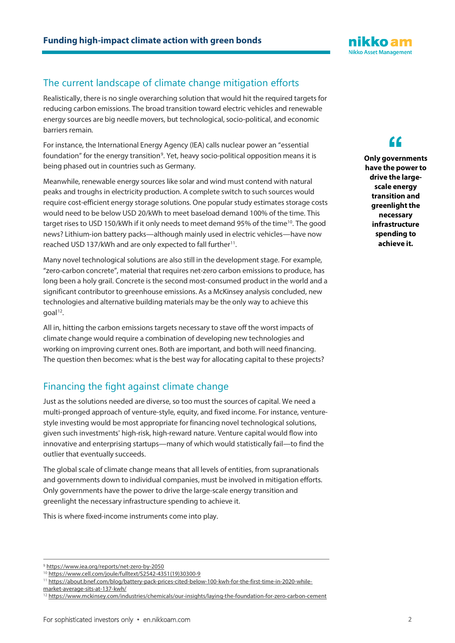# The current landscape of climate change mitigation efforts

Realistically, there is no single overarching solution that would hit the required targets for reducing carbon emissions. The broad transition toward electric vehicles and renewable energy sources are big needle movers, but technological, socio-political, and economic barriers remain.

For instance, the International Energy Agency (IEA) calls nuclear power an "essential foundation" for the energy transition<sup>9</sup>. Yet, heavy socio-political opposition means it is being phased out in countries such as Germany.

Meanwhile, renewable energy sources like solar and wind must contend with natural peaks and troughs in electricity production. A complete switch to such sources would require cost-efficient energy storage solutions. One popular study estimates storage costs would need to be below USD 20/kWh to meet baseload demand 100% of the time. This target rises to USD 150/kWh if it only needs to meet demand 95% of the time<sup>10</sup>. The good news? Lithium-ion battery packs—although mainly used in electric vehicles—have now reached USD 137/kWh and are only expected to fall further<sup>11</sup>.

Many novel technological solutions are also still in the development stage. For example, "zero-carbon concrete", material that requires net-zero carbon emissions to produce, has long been a holy grail. Concrete is the second most-consumed product in the world and a significant contributor to greenhouse emissions. As a McKinsey analysis concluded, new technologies and alternative building materials may be the only way to achieve this goal<sup>12</sup>.

All in, hitting the carbon emissions targets necessary to stave off the worst impacts of climate change would require a combination of developing new technologies and working on improving current ones. Both are important, and both will need financing. The question then becomes: what is the best way for allocating capital to these projects?

# Financing the fight against climate change

Just as the solutions needed are diverse, so too must the sources of capital. We need a multi-pronged approach of venture-style, equity, and fixed income. For instance, venturestyle investing would be most appropriate for financing novel technological solutions, given such investments' high-risk, high-reward nature. Venture capital would flow into innovative and enterprising startups—many of which would statistically fail—to find the outlier that eventually succeeds.

The global scale of climate change means that all levels of entities, from supranationals and governments down to individual companies, must be involved in mitigation efforts. Only governments have the power to drive the large-scale energy transition and greenlight the necessary infrastructure spending to achieve it.

This is where fixed-income instruments come into play.

**Only governments chave the power to**<br> **C**<br> **have the power to drive the largescale energy transition and greenlight the necessary infrastructure spending to achieve it.**



<span id="page-1-0"></span><sup>9</sup> <https://www.iea.org/reports/net-zero-by-2050>

<span id="page-1-1"></span><sup>10</sup> [https://www.cell.com/joule/fulltext/S2542-4351\(19\)30300-9](https://www.cell.com/joule/fulltext/S2542-4351(19)30300-9)

<span id="page-1-2"></span><sup>11</sup> [https://about.bnef.com/blog/battery-pack-prices-cited-below-100-kwh-for-the-first-time-in-2020-while-](https://about.bnef.com/blog/battery-pack-prices-cited-below-100-kwh-for-the-first-time-in-2020-while-market-average-sits-at-137-kwh/)

[market-average-sits-at-137-kwh/](https://about.bnef.com/blog/battery-pack-prices-cited-below-100-kwh-for-the-first-time-in-2020-while-market-average-sits-at-137-kwh/)

<span id="page-1-3"></span><sup>&</sup>lt;sup>12</sup> <https://www.mckinsey.com/industries/chemicals/our-insights/laying-the-foundation-for-zero-carbon-cement>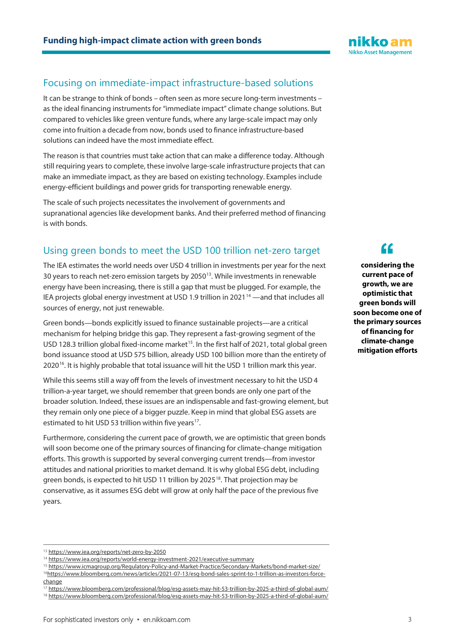#### Focusing on immediate-impact infrastructure-based solutions

It can be strange to think of bonds – often seen as more secure long-term investments – as the ideal financing instruments for "immediate impact" climate change solutions. But compared to vehicles like green venture funds, where any large-scale impact may only come into fruition a decade from now, bonds used to finance infrastructure-based solutions can indeed have the most immediate effect.

The reason is that countries must take action that can make a difference today. Although still requiring years to complete, these involve large-scale infrastructure projects that can make an immediate impact, as they are based on existing technology. Examples include energy-efficient buildings and power grids for transporting renewable energy.

The scale of such projects necessitates the involvement of governments and supranational agencies like development banks. And their preferred method of financing is with bonds.

### Using green bonds to meet the USD 100 trillion net-zero target

The IEA estimates the world needs over USD 4 trillion in investments per year for the next 30 years to reach net-zero emission targets by 2050[13](#page-2-0). While investments in renewable energy have been increasing, there is still a gap that must be plugged. For example, the IEA projects global energy investment at USD 1.9 trillion in 2021 $14$  —and that includes all sources of energy, not just renewable.

Green bonds—bonds explicitly issued to finance sustainable projects—are a critical mechanism for helping bridge this gap. They represent a fast-growing segment of the USD 128.3 trillion global fixed-income market<sup>[15](#page-2-2)</sup>. In the first half of 2021, total global green bond issuance stood at USD 575 billion, already USD 100 billion more than the entirety of 2020<sup>[16](#page-2-3)</sup>. It is highly probable that total issuance will hit the USD 1 trillion mark this year.

While this seems still a way off from the levels of investment necessary to hit the USD 4 trillion-a-year target, we should remember that green bonds are only one part of the broader solution. Indeed, these issues are an indispensable and fast-growing element, but they remain only one piece of a bigger puzzle. Keep in mind that global ESG assets are estimated to hit USD 53 trillion within five years<sup>17</sup>.

Furthermore, considering the current pace of growth, we are optimistic that green bonds will soon become one of the primary sources of financing for climate-change mitigation efforts. This growth is supported by several converging current trends—from investor attitudes and national priorities to market demand. It is why global ESG debt, including green bonds, is expected to hit USD 11 trillion by 2025<sup>18</sup>. That projection may be conservative, as it assumes ESG debt will grow at only half the pace of the previous five years.

**considering the current pace of growth, we are optimistic that green bonds will soon become one of the primary sources of financing for climate-change mitigation efforts f**<br>derir<br>ent pa



<span id="page-2-0"></span><sup>13</sup> <https://www.iea.org/reports/net-zero-by-2050>

<span id="page-2-1"></span><sup>14</sup> <https://www.iea.org/reports/world-energy-investment-2021/executive-summary>

<span id="page-2-2"></span><sup>15</sup> <https://www.icmagroup.org/Regulatory-Policy-and-Market-Practice/Secondary-Markets/bond-market-size/> 1[6https://www.bloomberg.com/news/articles/2021-07-13/esg-bond-sales-sprint-to-1-trillion-as-investors-force-](https://www.bloomberg.com/news/articles/2021-07-13/esg-bond-sales-sprint-to-1-trillion-as-investors-force-change)

<span id="page-2-4"></span><span id="page-2-3"></span>[change](https://www.bloomberg.com/news/articles/2021-07-13/esg-bond-sales-sprint-to-1-trillion-as-investors-force-change)

<span id="page-2-5"></span><sup>17</sup> <https://www.bloomberg.com/professional/blog/esg-assets-may-hit-53-trillion-by-2025-a-third-of-global-aum/> <sup>18</sup> <https://www.bloomberg.com/professional/blog/esg-assets-may-hit-53-trillion-by-2025-a-third-of-global-aum/>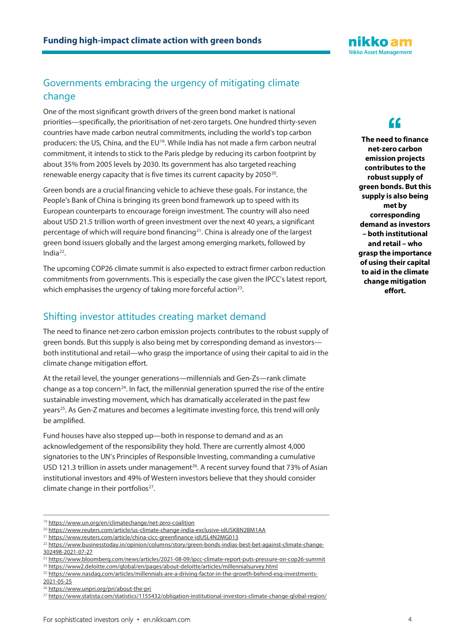## Governments embracing the urgency of mitigating climate change

One of the most significant growth drivers of the green bond market is national priorities—specifically, the prioritisation of net-zero targets. One hundred thirty-seven countries have made carbon neutral commitments, including the world's top carbon producers: the US, China, and the EU<sup>[19](#page-3-0)</sup>. While India has not made a firm carbon neutral commitment, it intends to stick to the Paris pledge by reducing its carbon footprint by about 35% from 2005 levels by 2030. Its government has also targeted reaching renewable energy capacity that is five times its current capacity by  $2050^{20}$  $2050^{20}$ .

Green bonds are a crucial financing vehicle to achieve these goals. For instance, the People's Bank of China is bringing its green bond framework up to speed with its European counterparts to encourage foreign investment. The country will also need about USD 21.5 trillion worth of green investment over the next 40 years, a significant percentage of which will require bond financing<sup>21</sup>. China is already one of the largest green bond issuers globally and the largest among emerging markets, followed by India $^{22}$  $^{22}$  $^{22}$ .

The upcoming COP26 climate summit is also expected to extract firmer carbon reduction commitments from governments. This is especially the case given the IPCC's latest report, which emphasises the urgency of taking more forceful action<sup>[23](#page-3-4)</sup>.

#### Shifting investor attitudes creating market demand

The need to finance net-zero carbon emission projects contributes to the robust supply of green bonds. But this supply is also being met by corresponding demand as investors both institutional and retail—who grasp the importance of using their capital to aid in the climate change mitigation effort.

At the retail level, the younger generations—millennials and Gen-Zs—rank climate change as a top concern<sup>24</sup>. In fact, the millennial generation spurred the rise of the entire sustainable investing movement, which has dramatically accelerated in the past few years<sup>[25](#page-3-6)</sup>. As Gen-Z matures and becomes a legitimate investing force, this trend will only be amplified.

Fund houses have also stepped up—both in response to demand and as an acknowledgement of the responsibility they hold. There are currently almost 4,000 signatories to the UN's Principles of Responsible Investing, commanding a cumulative USD 121.3 trillion in assets under management<sup>[26](#page-3-7)</sup>. A recent survey found that 73% of Asian institutional investors and 49% of Western investors believe that they should consider climate change in their portfolios $27$ .

<span id="page-3-6"></span>[2021-05-25](https://www.nasdaq.com/articles/millennials-are-a-driving-factor-in-the-growth-behind-esg-investments-2021-05-25)



nikko am **Nikko Asset Management** 

> **The need to finance net-zero carbon emission projects contributes to the robust supply of green bonds. But this supply is also being met by corresponding demand as investors – both institutional and retail – who grasp the importance of using their capital to aid in the climate change mitigation effort.**

<sup>19</sup> <https://www.un.org/en/climatechange/net-zero-coalition>

<span id="page-3-1"></span><span id="page-3-0"></span><sup>20</sup> <https://www.reuters.com/article/us-climate-change-india-exclusive-idUSKBN2BM1AA>

<span id="page-3-2"></span><sup>21</sup> <https://www.reuters.com/article/china-cicc-greenfinance-idUSL4N2MG013>

<span id="page-3-3"></span><sup>&</sup>lt;sup>22</sup> [https://www.businesstoday.in/opinion/columns/story/green-bonds-indias-best-bet-against-climate-change-](https://www.businesstoday.in/opinion/columns/story/green-bonds-indias-best-bet-against-climate-change-302498-2021-07-27)[302498-2021-07-27](https://www.businesstoday.in/opinion/columns/story/green-bonds-indias-best-bet-against-climate-change-302498-2021-07-27)

<span id="page-3-5"></span><span id="page-3-4"></span><sup>23</sup> <https://www.bloomberg.com/news/articles/2021-08-09/ipcc-climate-report-puts-pressure-on-cop26-summit> <sup>24</sup> <https://www2.deloitte.com/global/en/pages/about-deloitte/articles/millennialsurvey.html>

<sup>25</sup> [https://www.nasdaq.com/articles/millennials-are-a-driving-factor-in-the-growth-behind-esg-investments-](https://www.nasdaq.com/articles/millennials-are-a-driving-factor-in-the-growth-behind-esg-investments-2021-05-25)

<sup>26</sup> <https://www.unpri.org/pri/about-the-pri>

<span id="page-3-8"></span><span id="page-3-7"></span><sup>27</sup> <https://www.statista.com/statistics/1155432/obligation-institutional-investors-climate-change-global-region/>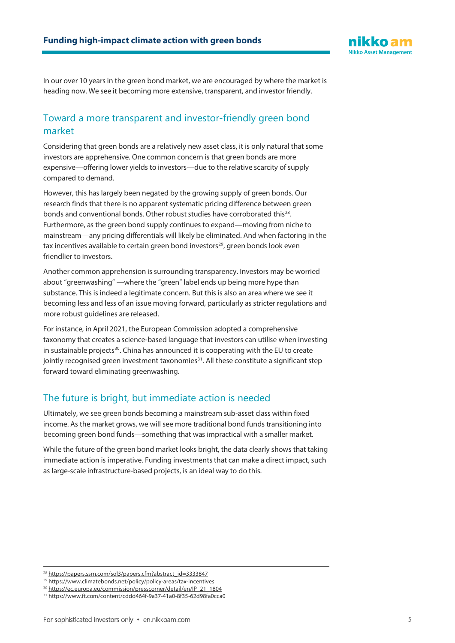

In our over 10 years in the green bond market, we are encouraged by where the market is heading now. We see it becoming more extensive, transparent, and investor friendly.

#### Toward a more transparent and investor-friendly green bond market

Considering that green bonds are a relatively new asset class, it is only natural that some investors are apprehensive. One common concern is that green bonds are more expensive—offering lower yields to investors—due to the relative scarcity of supply compared to demand.

However, this has largely been negated by the growing supply of green bonds. Our research finds that there is no apparent systematic pricing difference between green bonds and conventional bonds. Other robust studies have corroborated this<sup>[28](#page-4-0)</sup>. Furthermore, as the green bond supply continues to expand—moving from niche to mainstream—any pricing differentials will likely be eliminated. And when factoring in the tax incentives available to certain green bond investors<sup>[29](#page-4-1)</sup>, green bonds look even friendlier to investors.

Another common apprehension is surrounding transparency. Investors may be worried about "greenwashing" —where the "green" label ends up being more hype than substance. This is indeed a legitimate concern. But this is also an area where we see it becoming less and less of an issue moving forward, particularly as stricter regulations and more robust guidelines are released.

For instance, in April 2021, the European Commission adopted a comprehensive taxonomy that creates a science-based language that investors can utilise when investing in sustainable projects<sup>[30](#page-4-2)</sup>. China has announced it is cooperating with the EU to create jointly recognised green investment taxonomies<sup>31</sup>. All these constitute a significant step forward toward eliminating greenwashing.

#### The future is bright, but immediate action is needed

Ultimately, we see green bonds becoming a mainstream sub-asset class within fixed income. As the market grows, we will see more traditional bond funds transitioning into becoming green bond funds—something that was impractical with a smaller market.

While the future of the green bond market looks bright, the data clearly shows that taking immediate action is imperative. Funding investments that can make a direct impact, such as large-scale infrastructure-based projects, is an ideal way to do this.

<sup>&</sup>lt;sup>28</sup> [https://papers.ssrn.com/sol3/papers.cfm?abstract\\_id=3333847](https://papers.ssrn.com/sol3/papers.cfm?abstract_id=3333847)

<span id="page-4-1"></span><span id="page-4-0"></span><sup>29</sup> <https://www.climatebonds.net/policy/policy-areas/tax-incentives>

<span id="page-4-2"></span><sup>30</sup> [https://ec.europa.eu/commission/presscorner/detail/en/IP\\_21\\_1804](https://ec.europa.eu/commission/presscorner/detail/en/IP_21_1804)

<span id="page-4-3"></span><sup>31</sup> <https://www.ft.com/content/cddd464f-9a37-41a0-8f35-62d98fa0cca0>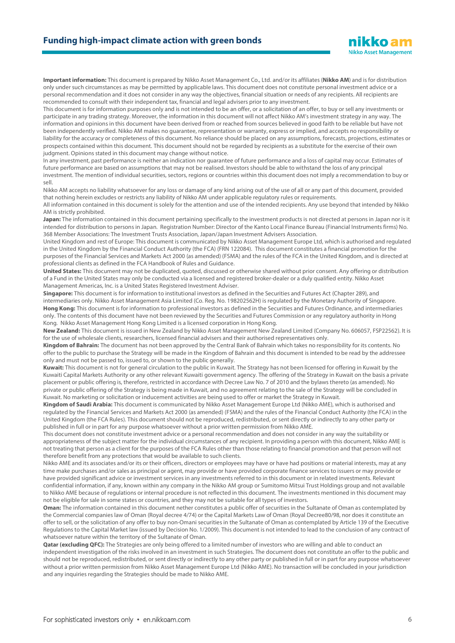#### **Funding high-impact climate action with green bonds**

**Important information:** This document is prepared by Nikko Asset Management Co., Ltd. and/or its affiliates (**Nikko AM**) and is for distribution only under such circumstances as may be permitted by applicable laws. This document does not constitute personal investment advice or a personal recommendation and it does not consider in any way the objectives, financial situation or needs of any recipients. All recipients are recommended to consult with their independent tax, financial and legal advisers prior to any investment.

This document is for information purposes only and is not intended to be an offer, or a solicitation of an offer, to buy or sell any investments or participate in any trading strategy. Moreover, the information in this document will not affect Nikko AM's investment strategy in any way. The information and opinions in this document have been derived from or reached from sources believed in good faith to be reliable but have not been independently verified. Nikko AM makes no guarantee, representation or warranty, express or implied, and accepts no responsibility or liability for the accuracy or completeness of this document. No reliance should be placed on any assumptions, forecasts, projections, estimates or prospects contained within this document. This document should not be regarded by recipients as a substitute for the exercise of their own judgment. Opinions stated in this document may change without notice.

In any investment, past performance is neither an indication nor guarantee of future performance and a loss of capital may occur. Estimates of future performance are based on assumptions that may not be realised. Investors should be able to withstand the loss of any principal investment. The mention of individual securities, sectors, regions or countries within this document does not imply a recommendation to buy or sell.

Nikko AM accepts no liability whatsoever for any loss or damage of any kind arising out of the use of all or any part of this document, provided that nothing herein excludes or restricts any liability of Nikko AM under applicable regulatory rules or requirements.

All information contained in this document is solely for the attention and use of the intended recipients. Any use beyond that intended by Nikko AM is strictly prohibited.

**Japan:** The information contained in this document pertaining specifically to the investment products is not directed at persons in Japan nor is it intended for distribution to persons in Japan. Registration Number: Director of the Kanto Local Finance Bureau (Financial Instruments firms) No. 368 Member Associations: The Investment Trusts Association, Japan/Japan Investment Advisers Association.

United Kingdom and rest of Europe: This document is communicated by Nikko Asset Management Europe Ltd, which is authorised and regulated in the United Kingdom by the Financial Conduct Authority (the FCA) (FRN 122084). This document constitutes a financial promotion for the purposes of the Financial Services and Markets Act 2000 (as amended) (FSMA) and the rules of the FCA in the United Kingdom, and is directed at professional clients as defined in the FCA Handbook of Rules and Guidance.

**United States:** This document may not be duplicated, quoted, discussed or otherwise shared without prior consent. Any offering or distribution of a Fund in the United States may only be conducted via a licensed and registered broker-dealer or a duly qualified entity. Nikko Asset Management Americas, Inc. is a United States Registered Investment Adviser.

**Singapore:** This document is for information to institutional investors as defined in the Securities and Futures Act (Chapter 289), and intermediaries only. Nikko Asset Management Asia Limited (Co. Reg. No. 198202562H) is regulated by the Monetary Authority of Singapore. **Hong Kong:** This document is for information to professional investors as defined in the Securities and Futures Ordinance, and intermediaries only. The contents of this document have not been reviewed by the Securities and Futures Commission or any regulatory authority in Hong Kong. Nikko Asset Management Hong Kong Limited is a licensed corporation in Hong Kong.

**New Zealand:** This document is issued in New Zealand by Nikko Asset Management New Zealand Limited (Company No. 606057, FSP22562). It is for the use of wholesale clients, researchers, licensed financial advisers and their authorised representatives only.

**Kingdom of Bahrain:** The document has not been approved by the Central Bank of Bahrain which takes no responsibility for its contents. No offer to the public to purchase the Strategy will be made in the Kingdom of Bahrain and this document is intended to be read by the addressee only and must not be passed to, issued to, or shown to the public generally.

**Kuwait:** This document is not for general circulation to the public in Kuwait. The Strategy has not been licensed for offering in Kuwait by the Kuwaiti Capital Markets Authority or any other relevant Kuwaiti government agency. The offering of the Strategy in Kuwait on the basis a private placement or public offering is, therefore, restricted in accordance with Decree Law No. 7 of 2010 and the bylaws thereto (as amended). No private or public offering of the Strategy is being made in Kuwait, and no agreement relating to the sale of the Strategy will be concluded in Kuwait. No marketing or solicitation or inducement activities are being used to offer or market the Strategy in Kuwait.

**Kingdom of Saudi Arabia:** This document is communicated by Nikko Asset Management Europe Ltd (Nikko AME), which is authorised and regulated by the Financial Services and Markets Act 2000 (as amended) (FSMA) and the rules of the Financial Conduct Authority (the FCA) in the United Kingdom (the FCA Rules). This document should not be reproduced, redistributed, or sent directly or indirectly to any other party or published in full or in part for any purpose whatsoever without a prior written permission from Nikko AME.

This document does not constitute investment advice or a personal recommendation and does not consider in any way the suitability or appropriateness of the subject matter for the individual circumstances of any recipient. In providing a person with this document, Nikko AME is not treating that person as a client for the purposes of the FCA Rules other than those relating to financial promotion and that person will not therefore benefit from any protections that would be available to such clients.

Nikko AME and its associates and/or its or their officers, directors or employees may have or have had positions or material interests, may at any time make purchases and/or sales as principal or agent, may provide or have provided corporate finance services to issuers or may provide or have provided significant advice or investment services in any investments referred to in this document or in related investments. Relevant confidential information, if any, known within any company in the Nikko AM group or Sumitomo Mitsui Trust Holdings group and not available to Nikko AME because of regulations or internal procedure is not reflected in this document. The investments mentioned in this document may not be eligible for sale in some states or countries, and they may not be suitable for all types of investors.

**Oman:** The information contained in this document nether constitutes a public offer of securities in the Sultanate of Oman as contemplated by the Commercial companies law of Oman (Royal decree 4/74) or the Capital Markets Law of Oman (Royal Decree80/98, nor does it constitute an offer to sell, or the solicitation of any offer to buy non-Omani securities in the Sultanate of Oman as contemplated by Article 139 of the Executive Regulations to the Capital Market law (issued by Decision No. 1/2009). This document is not intended to lead to the conclusion of any contract of whatsoever nature within the territory of the Sultanate of Oman.

**Qatar (excluding QFC):** The Strategies are only being offered to a limited number of investors who are willing and able to conduct an independent investigation of the risks involved in an investment in such Strategies. The document does not constitute an offer to the public and should not be reproduced, redistributed, or sent directly or indirectly to any other party or published in full or in part for any purpose whatsoever without a prior written permission from Nikko Asset Management Europe Ltd (Nikko AME). No transaction will be concluded in your jurisdiction and any inquiries regarding the Strategies should be made to Nikko AME.